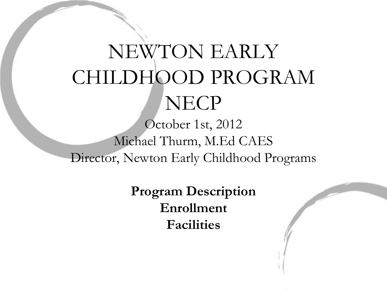# NEWTON EARLY CHILDHOOD PROGRAM **NECP**

October 1st, 2012 Michael Thurm, M.Ed CAES Director, Newton Early Childhood Programs

> **Program Description Enrollment Facilities**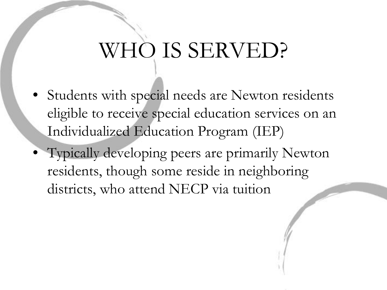# WHO IS SERVED?

- Students with special needs are Newton residents eligible to receive special education services on an Individualized Education Program (IEP)
- Typically developing peers are primarily Newton residents, though some reside in neighboring districts, who attend NECP via tuition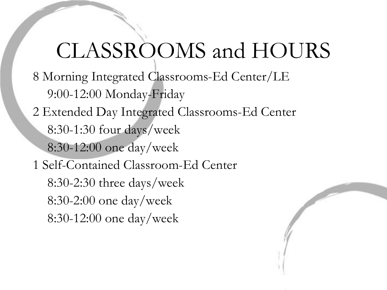## CLASSROOMS and HOURS

- 8 Morning Integrated Classrooms-Ed Center/LE 9:00-12:00 Monday-Friday
- 2 Extended Day Integrated Classrooms-Ed Center
	- 8:30-1:30 four days/week
	- 8:30-12:00 one day/week
- 1 Self-Contained Classroom-Ed Center
	- 8:30-2:30 three days/week 8:30-2:00 one day/week 8:30-12:00 one day/week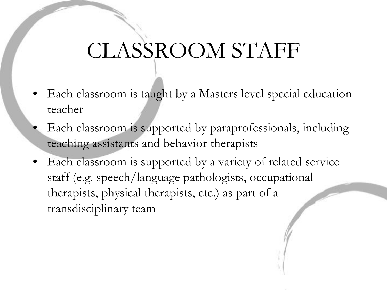# CLASSROOM STAFF

- Each classroom is taught by a Masters level special education teacher
- Each classroom is supported by paraprofessionals, including teaching assistants and behavior therapists
- Each classroom is supported by a variety of related service staff (e.g. speech/language pathologists, occupational therapists, physical therapists, etc.) as part of a transdisciplinary team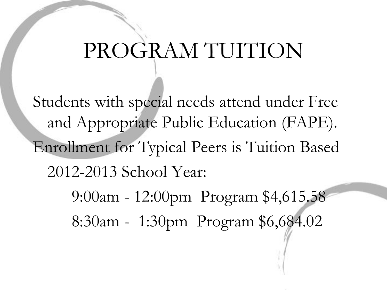## PROGRAM TUITION

Students with special needs attend under Free and Appropriate Public Education (FAPE). Enrollment for Typical Peers is Tuition Based 2012-2013 School Year:

> 9:00am - 12:00pm Program \$4,615.58 8:30am - 1:30pm Program \$6,684.02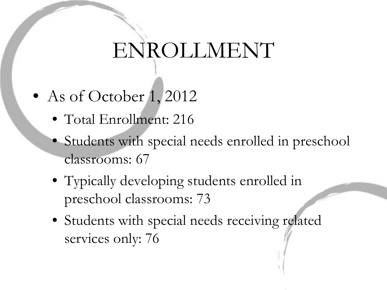# ENROLLMENT

- As of October 1, 2012
	- Total Enrollment: 216
	- Students with special needs enrolled in preschool classrooms: 67
	- Typically developing students enrolled in preschool classrooms: 73
	- Students with special needs receiving related services only: 76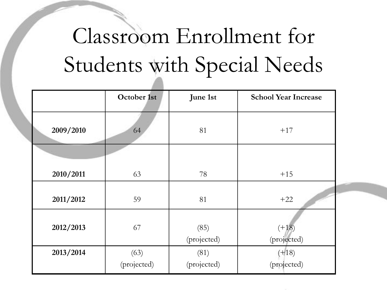# Classroom Enrollment for Students with Special Needs

|           | October 1st         | June 1st            | <b>School Year Increase</b> |
|-----------|---------------------|---------------------|-----------------------------|
| 2009/2010 | 64                  | 81                  | $+17$                       |
| 2010/2011 | 63                  | 78                  | $+15$                       |
| 2011/2012 | 59                  | 81                  | $+22$                       |
| 2012/2013 | 67                  | (85)<br>(projected) | $(+18)$<br>(projected)      |
| 2013/2014 | (63)<br>(projected) | (81)<br>(projected) | $(+18)$<br>(projected)      |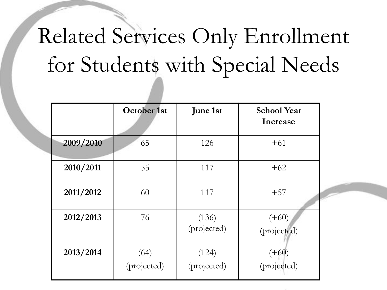# Related Services Only Enrollment for Students with Special Needs

|           | <b>October 1st</b>  | <b>June 1st</b>      | <b>School Year</b><br>Increase |
|-----------|---------------------|----------------------|--------------------------------|
| 2009/2010 | 65                  | 126                  | $+61$                          |
| 2010/2011 | 55                  | 117                  | $+62$                          |
| 2011/2012 | 60                  | 117                  | $+57$                          |
| 2012/2013 | 76                  | (136)<br>(projected) | $(+60)$<br>(projected)         |
| 2013/2014 | (64)<br>(projected) | (124)<br>(projected) | $(+60)$<br>(projected)         |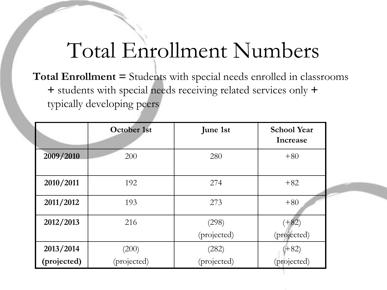### Total Enrollment Numbers

**Total Enrollment =** Students with special needs enrolled in classrooms **+** students with special needs receiving related services only **+** typically developing peers

|             | <b>October 1st</b> | <b>June 1st</b> | <b>School Year</b><br>Increase |
|-------------|--------------------|-----------------|--------------------------------|
| 2009/2010   | 200                | 280             | $+80$                          |
| 2010/2011   | 192                | 274             | $+82$                          |
| 2011/2012   | 193                | 273             | $+80$                          |
| 2012/2013   | 216                | (298)           | $(+82)$                        |
|             |                    | (projected)     | (projected)                    |
| 2013/2014   | (200)              | (282)           | $(+82)$                        |
| (projected) | (projected)        | (projected)     | (projected)                    |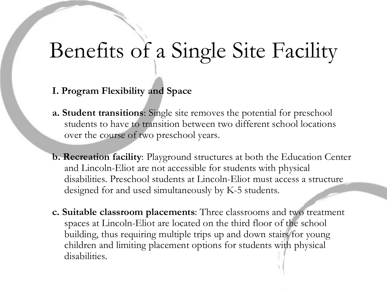## Benefits of a Single Site Facility

- **I. Program Flexibility and Space**
- **a. Student transitions**: Single site removes the potential for preschool students to have to transition between two different school locations over the course of two preschool years.
- **b. Recreation facility**: Playground structures at both the Education Center and Lincoln-Eliot are not accessible for students with physical disabilities. Preschool students at Lincoln-Eliot must access a structure designed for and used simultaneously by K-5 students.
- **c. Suitable classroom placements**: Three classrooms and two treatment spaces at Lincoln-Eliot are located on the third floor of the school building, thus requiring multiple trips up and down stairs for young children and limiting placement options for students with physical disabilities.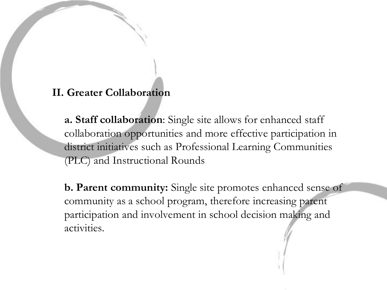#### **II. Greater Collaboration**

**a. Staff collaboration**: Single site allows for enhanced staff collaboration opportunities and more effective participation in district initiatives such as Professional Learning Communities (PLC) and Instructional Rounds

**b. Parent community:** Single site promotes enhanced sense of community as a school program, therefore increasing parent participation and involvement in school decision making and activities.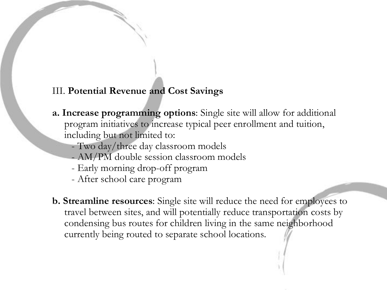#### III. **Potential Revenue and Cost Savings**

- **a. Increase programming options**: Single site will allow for additional program initiatives to increase typical peer enrollment and tuition, including but not limited to:
	- Two day/three day classroom models
	- AM/PM double session classroom models
	- Early morning drop-off program
	- After school care program
- **b. Streamline resources**: Single site will reduce the need for employees to travel between sites, and will potentially reduce transportation costs by condensing bus routes for children living in the same neighborhood currently being routed to separate school locations.